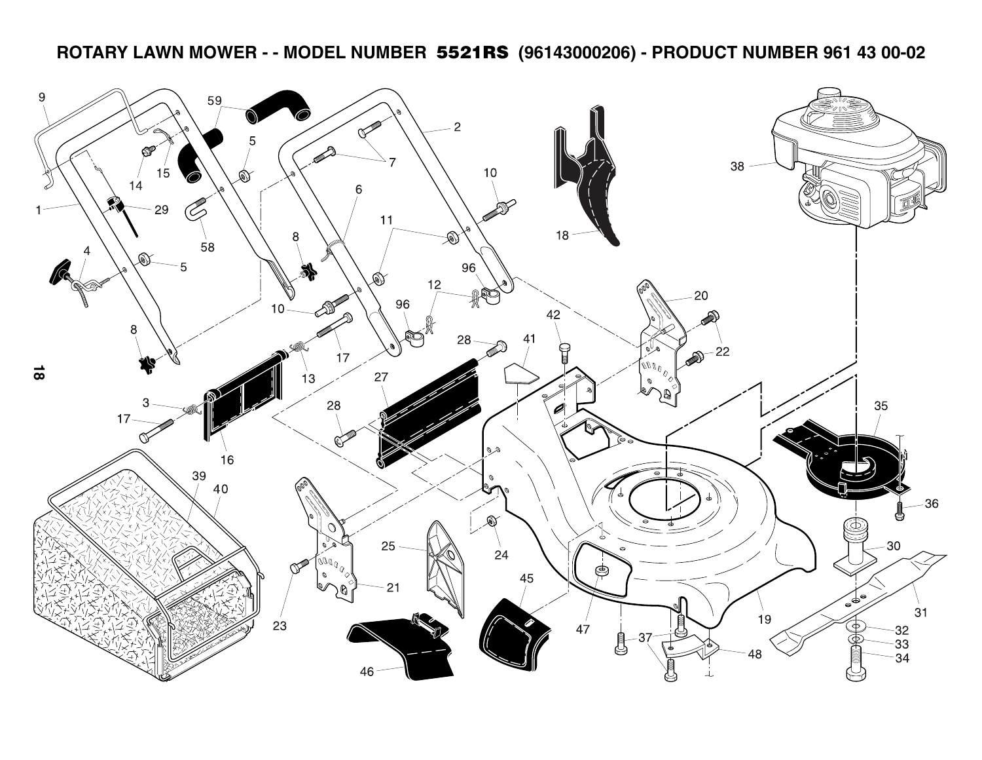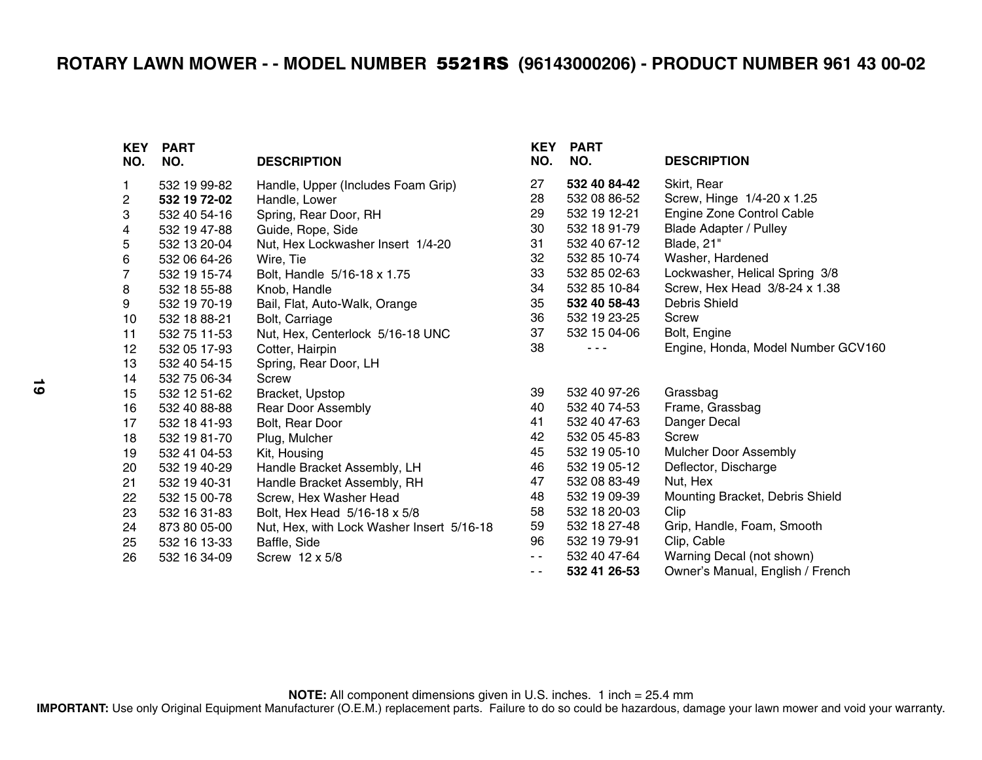| <b>KEY</b><br>NO. | <b>PART</b><br>NO. | <b>DESCRIPTION</b>                        | <b>KEY</b><br>NO. | <b>PART</b><br>NO. | <b>DESCRIPTION</b>                 |
|-------------------|--------------------|-------------------------------------------|-------------------|--------------------|------------------------------------|
| $\mathbf{1}$      | 532 19 99-82       | Handle, Upper (Includes Foam Grip)        | 27                | 532 40 84-42       | Skirt, Rear                        |
| 2                 | 532 19 72-02       | Handle, Lower                             | 28                | 532 08 86-52       | Screw, Hinge 1/4-20 x 1.25         |
| 3                 | 532 40 54-16       | Spring, Rear Door, RH                     | 29                | 532 19 12-21       | Engine Zone Control Cable          |
| 4                 | 532 19 47-88       | Guide, Rope, Side                         | 30                | 532 18 91-79       | <b>Blade Adapter / Pulley</b>      |
| 5                 | 532 13 20-04       | Nut, Hex Lockwasher Insert 1/4-20         | 31                | 532 40 67-12       | Blade, 21"                         |
| 6                 | 532 06 64-26       | Wire, Tie                                 | 32                | 532 85 10-74       | Washer, Hardened                   |
| $\overline{7}$    | 532 19 15-74       | Bolt, Handle 5/16-18 x 1.75               | 33                | 532 85 02-63       | Lockwasher, Helical Spring 3/8     |
| 8                 | 532 18 55-88       | Knob, Handle                              | 34                | 532 85 10-84       | Screw, Hex Head 3/8-24 x 1.38      |
| 9                 | 532 19 70-19       | Bail, Flat, Auto-Walk, Orange             | 35                | 532 40 58-43       | <b>Debris Shield</b>               |
| 10                | 532 18 88-21       | Bolt, Carriage                            | 36                | 532 19 23-25       | Screw                              |
| 11                | 532 75 11-53       | Nut, Hex, Centerlock 5/16-18 UNC          | 37                | 532 15 04-06       | Bolt, Engine                       |
| 12                | 532 05 17-93       | Cotter, Hairpin                           | 38                |                    | Engine, Honda, Model Number GCV160 |
| 13                | 532 40 54-15       | Spring, Rear Door, LH                     |                   |                    |                                    |
| 14                | 532 75 06-34       | <b>Screw</b>                              |                   |                    |                                    |
| 15                | 532 12 51-62       | Bracket, Upstop                           | 39                | 532 40 97-26       | Grassbag                           |
| 16                | 532 40 88-88       | <b>Rear Door Assembly</b>                 | 40                | 532 40 74-53       | Frame, Grassbag                    |
| 17                | 532 18 41-93       | Bolt, Rear Door                           | 41                | 532 40 47-63       | Danger Decal                       |
| 18                | 532 19 81-70       | Plug, Mulcher                             | 42                | 532 05 45-83       | Screw                              |
| 19                | 532 41 04-53       | Kit, Housing                              | 45                | 532 19 05-10       | <b>Mulcher Door Assembly</b>       |
| 20                | 532 19 40-29       | Handle Bracket Assembly, LH               | 46                | 532 19 05-12       | Deflector, Discharge               |
| 21                | 532 19 40-31       | Handle Bracket Assembly, RH               | 47                | 532 08 83-49       | Nut, Hex                           |
| 22                | 532 15 00-78       | Screw, Hex Washer Head                    | 48                | 532 19 09-39       | Mounting Bracket, Debris Shield    |
| 23                | 532 16 31-83       | Bolt, Hex Head 5/16-18 x 5/8              | 58                | 532 18 20-03       | Clip                               |
| 24                | 873 80 05-00       | Nut, Hex, with Lock Washer Insert 5/16-18 | 59                | 532 18 27-48       | Grip, Handle, Foam, Smooth         |
| 25                | 532 16 13-33       | Baffle, Side                              | 96                | 532 19 79-91       | Clip, Cable                        |
| 26                | 532 16 34-09       | Screw 12 x 5/8                            | $\sim$ $\sim$     | 532 40 47-64       | Warning Decal (not shown)          |
|                   |                    |                                           | $\sim$ $\sim$     | 532 41 26-53       | Owner's Manual, English / French   |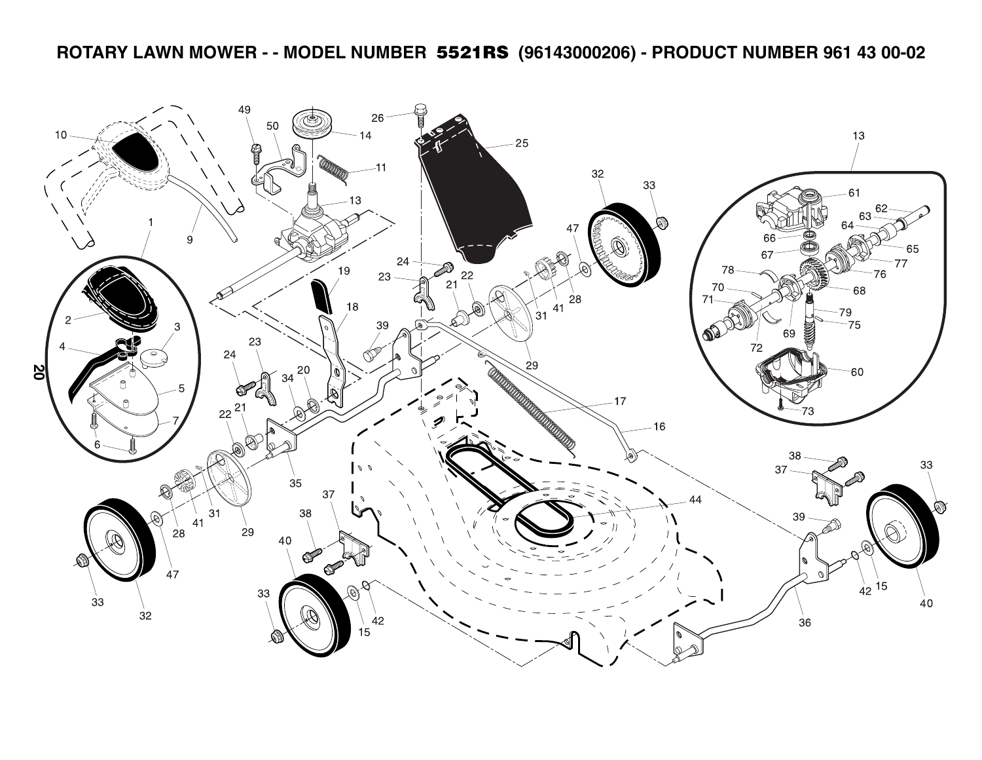